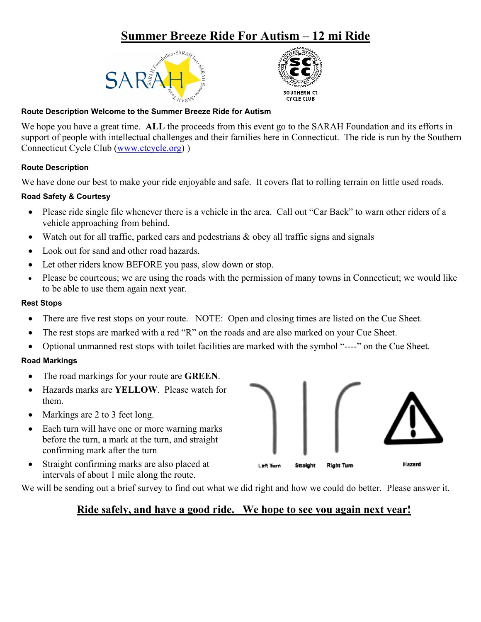# **Summer Breeze Ride For Autism – 12 mi Ride**





#### **Route Description Welcome to the Summer Breeze Ride for Autism**

We hope you have a great time. **ALL** the proceeds from this event go to the SARAH Foundation and its efforts in support of people with intellectual challenges and their families here in Connecticut. The ride is run by the Southern Connecticut Cycle Club [\(www.ctcycle.org\)](http://www.ctcycle.org/) )

## **Route Description**

We have done our best to make your ride enjoyable and safe. It covers flat to rolling terrain on little used roads.

## **Road Safety & Courtesy**

- Please ride single file whenever there is a vehicle in the area. Call out "Car Back" to warn other riders of a vehicle approaching from behind.
- Watch out for all traffic, parked cars and pedestrians & obey all traffic signs and signals
- Look out for sand and other road hazards.
- Let other riders know BEFORE you pass, slow down or stop.
- Please be courteous; we are using the roads with the permission of many towns in Connecticut; we would like to be able to use them again next year.

#### **Rest Stops**

- There are five rest stops on your route. NOTE: Open and closing times are listed on the Cue Sheet.
- The rest stops are marked with a red "R" on the roads and are also marked on your Cue Sheet.
- Optional unmanned rest stops with toilet facilities are marked with the symbol "----" on the Cue Sheet.

## **Road Markings**

- The road markings for your route are **GREEN**.
- Hazards marks are **YELLOW**. Please watch for them.
- Markings are 2 to 3 feet long.
- Each turn will have one or more warning marks before the turn, a mark at the turn, and straight confirming mark after the turn
- Straight confirming marks are also placed at intervals of about 1 mile along the route.

We will be sending out a brief survey to find out what we did right and how we could do better. Please answer it.

## **Ride safely, and have a good ride. We hope to see you again next year!**